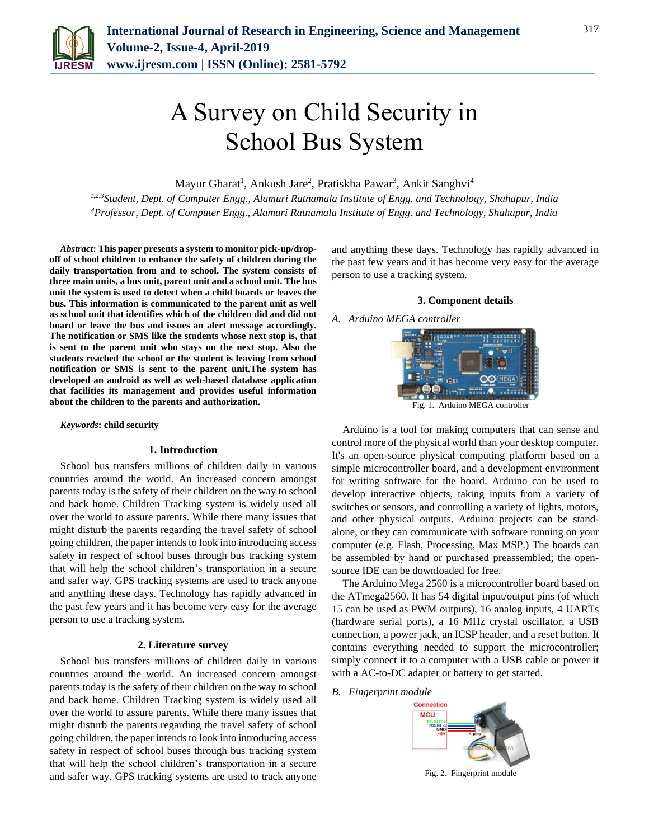

# A Survey on Child Security in School Bus System

Mayur Gharat<sup>1</sup>, Ankush Jare<sup>2</sup>, Pratiskha Pawar<sup>3</sup>, Ankit Sanghvi<sup>4</sup>

*1,2,3Student, Dept. of Computer Engg., Alamuri Ratnamala Institute of Engg. and Technology, Shahapur, India 4Professor, Dept. of Computer Engg., Alamuri Ratnamala Institute of Engg. and Technology, Shahapur, India*

*Abstract***: This paper presents a system to monitor pick-up/dropoff of school children to enhance the safety of children during the daily transportation from and to school. The system consists of three main units, a bus unit, parent unit and a school unit. The bus unit the system is used to detect when a child boards or leaves the bus. This information is communicated to the parent unit as well as school unit that identifies which of the children did and did not board or leave the bus and issues an alert message accordingly. The notification or SMS like the students whose next stop is, that is sent to the parent unit who stays on the next stop. Also the students reached the school or the student is leaving from school notification or SMS is sent to the parent unit.The system has developed an android as well as web-based database application that facilities its management and provides useful information about the children to the parents and authorization.**

*Keywords***: child security**

## **1. Introduction**

School bus transfers millions of children daily in various countries around the world. An increased concern amongst parents today is the safety of their children on the way to school and back home. Children Tracking system is widely used all over the world to assure parents. While there many issues that might disturb the parents regarding the travel safety of school going children, the paper intends to look into introducing access safety in respect of school buses through bus tracking system that will help the school children's transportation in a secure and safer way. GPS tracking systems are used to track anyone and anything these days. Technology has rapidly advanced in the past few years and it has become very easy for the average person to use a tracking system.

## **2. Literature survey**

School bus transfers millions of children daily in various countries around the world. An increased concern amongst parents today is the safety of their children on the way to school and back home. Children Tracking system is widely used all over the world to assure parents. While there many issues that might disturb the parents regarding the travel safety of school going children, the paper intends to look into introducing access safety in respect of school buses through bus tracking system that will help the school children's transportation in a secure and safer way. GPS tracking systems are used to track anyone

and anything these days. Technology has rapidly advanced in the past few years and it has become very easy for the average person to use a tracking system.

#### **3. Component details**

## *A. Arduino MEGA controller*



Fig. 1. Arduino MEGA controller

Arduino is a tool for making computers that can sense and control more of the physical world than your desktop computer. It's an open-source physical computing platform based on a simple microcontroller board, and a development environment for writing software for the board. Arduino can be used to develop interactive objects, taking inputs from a variety of switches or sensors, and controlling a variety of lights, motors, and other physical outputs. Arduino projects can be standalone, or they can communicate with software running on your computer (e.g. Flash, Processing, Max MSP.) The boards can be assembled by hand or purchased preassembled; the opensource IDE can be downloaded for free.

The Arduino Mega 2560 is a microcontroller board based on the ATmega2560. It has 54 digital input/output pins (of which 15 can be used as PWM outputs), 16 analog inputs, 4 UARTs (hardware serial ports), a 16 MHz crystal oscillator, a USB connection, a power jack, an ICSP header, and a reset button. It contains everything needed to support the microcontroller; simply connect it to a computer with a USB cable or power it with a AC-to-DC adapter or battery to get started.

*B. Fingerprint module*



Fig. 2. Fingerprint module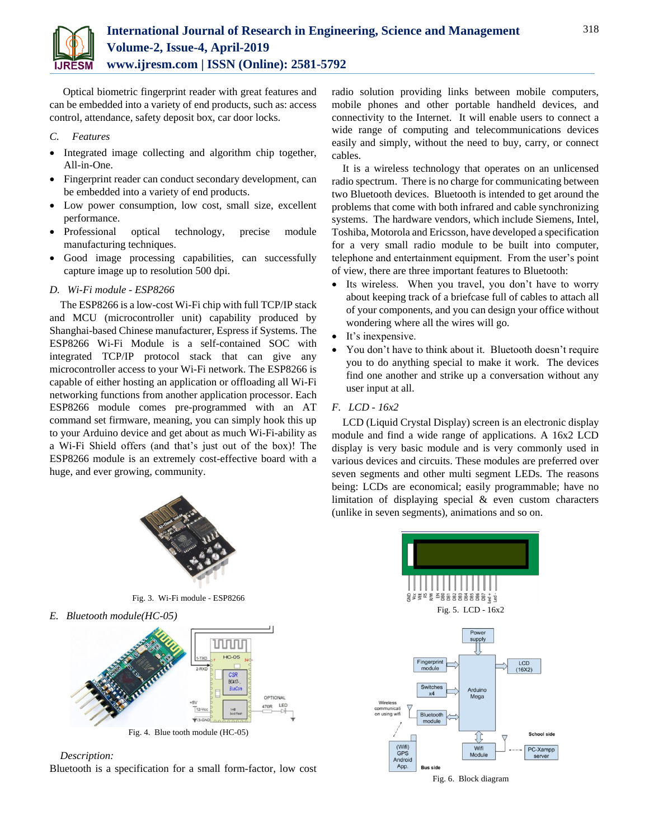

Optical biometric fingerprint reader with great features and can be embedded into a variety of end products, such as: access control, attendance, safety deposit box, car door locks.

## *C. Features*

- Integrated image collecting and algorithm chip together, All-in-One.
- Fingerprint reader can conduct secondary development, can be embedded into a variety of end products.
- Low power consumption, low cost, small size, excellent performance.
- Professional optical technology, precise module manufacturing techniques.
- Good image processing capabilities, can successfully capture image up to resolution 500 dpi.

## *D. Wi-Fi module - ESP8266*

The ESP8266 is a low-cost Wi-Fi chip with full TCP/IP stack and MCU (microcontroller unit) capability produced by Shanghai-based Chinese manufacturer, Espress if Systems. The ESP8266 Wi-Fi Module is a self-contained SOC with integrated TCP/IP protocol stack that can give any microcontroller access to your Wi-Fi network. The ESP8266 is capable of either hosting an application or offloading all Wi-Fi networking functions from another application processor. Each ESP8266 module comes pre-programmed with an AT command set firmware, meaning, you can simply hook this up to your Arduino device and get about as much Wi-Fi-ability as a Wi-Fi Shield offers (and that's just out of the box)! The ESP8266 module is an extremely cost-effective board with a huge, and ever growing, community.



Fig. 3. Wi-Fi module - ESP8266

*E. Bluetooth module(HC-05)*



*Description:*

Bluetooth is a specification for a small form-factor, low cost

radio solution providing links between mobile computers, mobile phones and other portable handheld devices, and connectivity to the Internet. It will enable users to connect a wide range of computing and telecommunications devices easily and simply, without the need to buy, carry, or connect cables.

318

It is a wireless technology that operates on an unlicensed radio spectrum. There is no charge for communicating between two Bluetooth devices. Bluetooth is intended to get around the problems that come with both infrared and cable synchronizing systems. The hardware vendors, which include Siemens, Intel, Toshiba, Motorola and Ericsson, have developed a specification for a very small radio module to be built into computer, telephone and entertainment equipment. From the user's point of view, there are three important features to Bluetooth:

- Its wireless. When you travel, you don't have to worry about keeping track of a briefcase full of cables to attach all of your components, and you can design your office without wondering where all the wires will go.
- It's inexpensive.
- You don't have to think about it. Bluetooth doesn't require you to do anything special to make it work. The devices find one another and strike up a conversation without any user input at all.

## *F. LCD - 16x2*

LCD (Liquid Crystal Display) screen is an electronic display module and find a wide range of applications. A 16x2 LCD display is very basic module and is very commonly used in various devices and circuits. These modules are preferred over seven segments and other multi segment LEDs. The reasons being: LCDs are economical; easily programmable; have no limitation of displaying special & even custom characters (unlike in seven segments), animations and so on.